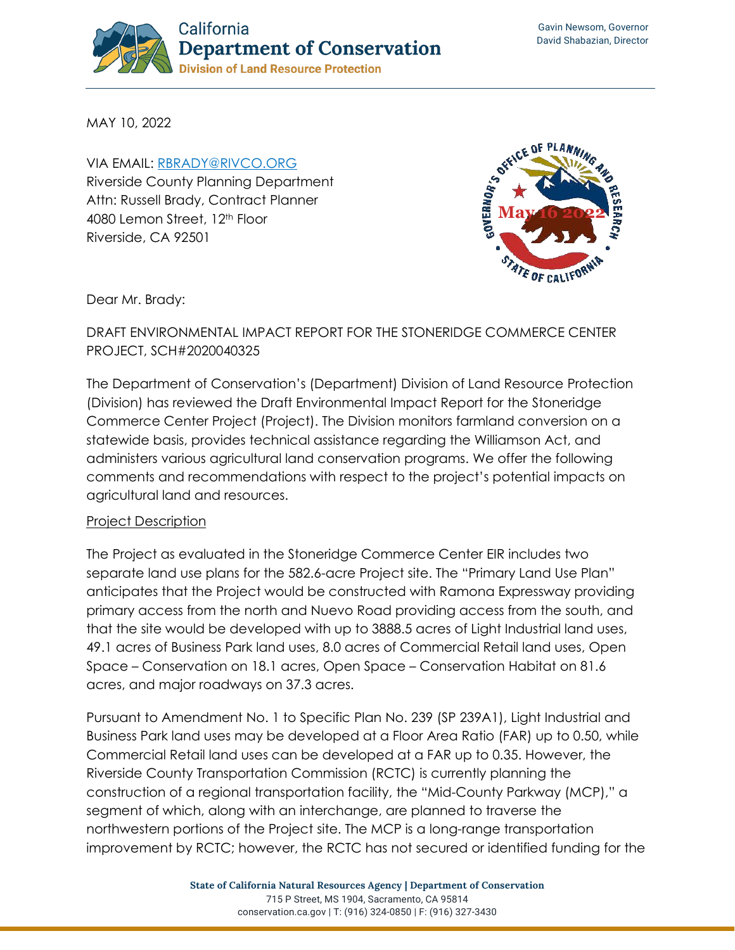

MAY 10, 2022

VIA EMAIL: [RBRADY@RIVCO.ORG](mailto:rbrady@rivco.org) Riverside County Planning Department Attn: Russell Brady, Contract Planner 4080 Lemon Street, 12th Floor Riverside, CA 92501



Dear Mr. Brady:

DRAFT ENVIRONMENTAL IMPACT REPORT FOR THE STONERIDGE COMMERCE CENTER PROJECT, SCH#2020040325

The Department of Conservation's (Department) Division of Land Resource Protection (Division) has reviewed the Draft Environmental Impact Report for the Stoneridge Commerce Center Project (Project). The Division monitors farmland conversion on a statewide basis, provides technical assistance regarding the Williamson Act, and administers various agricultural land conservation programs. We offer the following comments and recommendations with respect to the project's potential impacts on agricultural land and resources.

## Project Description

The Project as evaluated in the Stoneridge Commerce Center EIR includes two separate land use plans for the 582.6-acre Project site. The "Primary Land Use Plan" anticipates that the Project would be constructed with Ramona Expressway providing primary access from the north and Nuevo Road providing access from the south, and that the site would be developed with up to 3888.5 acres of Light Industrial land uses, 49.1 acres of Business Park land uses, 8.0 acres of Commercial Retail land uses, Open Space – Conservation on 18.1 acres, Open Space – Conservation Habitat on 81.6 acres, and major roadways on 37.3 acres.

Pursuant to Amendment No. 1 to Specific Plan No. 239 (SP 239A1), Light Industrial and Business Park land uses may be developed at a Floor Area Ratio (FAR) up to 0.50, while Commercial Retail land uses can be developed at a FAR up to 0.35. However, the Riverside County Transportation Commission (RCTC) is currently planning the construction of a regional transportation facility, the "Mid-County Parkway (MCP)," a segment of which, along with an interchange, are planned to traverse the northwestern portions of the Project site. The MCP is a long-range transportation improvement by RCTC; however, the RCTC has not secured or identified funding for the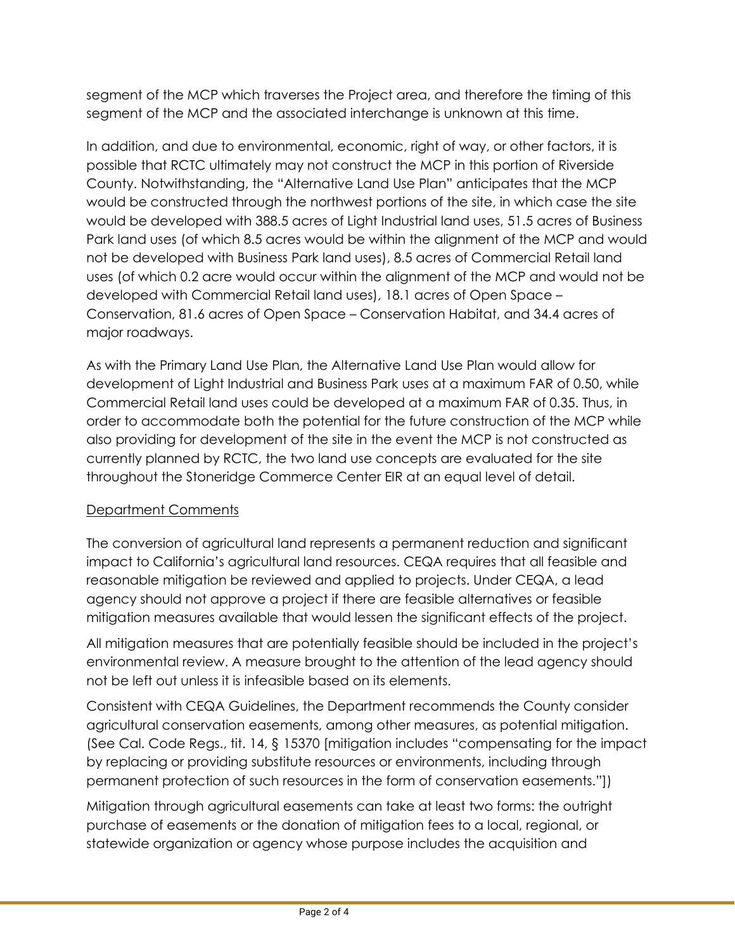segment of the MCP which traverses the Project area, and therefore the timing of this segment of the MCP and the associated interchange is unknown at this time.

In addition, and due to environmental, economic, right of way, or other factors, it is possible that RCTC ultimately may not construct the MCP in this portion of Riverside County. Notwithstanding, the "Alternative Land Use Plan" anticipates that the MCP would be constructed through the northwest portions of the site, in which case the site would be developed with 388.5 acres of Light Industrial land uses, 51.5 acres of Business Park land uses (of which 8.5 acres would be within the alignment of the MCP and would not be developed with Business Park land uses), 8.5 acres of Commercial Retail land uses (of which 0.2 acre would occur within the alignment of the MCP and would not be developed with Commercial Retail land uses), 18.1 acres of Open Space – Conservation, 81.6 acres of Open Space – Conservation Habitat, and 34.4 acres of major roadways.

As with the Primary Land Use Plan, the Alternative Land Use Plan would allow for development of Light Industrial and Business Park uses at a maximum FAR of 0.50, while Commercial Retail land uses could be developed at a maximum FAR of 0.35. Thus, in order to accommodate both the potential for the future construction of the MCP while also providing for development of the site in the event the MCP is not constructed as currently planned by RCTC, the two land use concepts are evaluated for the site throughout the Stoneridge Commerce Center EIR at an equal level of detail.

## Department Comments

The conversion of agricultural land represents a permanent reduction and significant impact to California's agricultural land resources. CEQA requires that all feasible and reasonable mitigation be reviewed and applied to projects. Under CEQA, a lead agency should not approve a project if there are feasible alternatives or feasible mitigation measures available that would lessen the significant effects of the project.

All mitigation measures that are potentially feasible should be included in the project's environmental review. A measure brought to the attention of the lead agency should not be left out unless it is infeasible based on its elements.

Consistent with CEQA Guidelines, the Department recommends the County consider agricultural conservation easements, among other measures, as potential mitigation. (See Cal. Code Regs., tit. 14, § 15370 [mitigation includes "compensating for the impact by replacing or providing substitute resources or environments, including through permanent protection of such resources in the form of conservation easements."])

Mitigation through agricultural easements can take at least two forms: the outright purchase of easements or the donation of mitigation fees to a local, regional, or statewide organization or agency whose purpose includes the acquisition and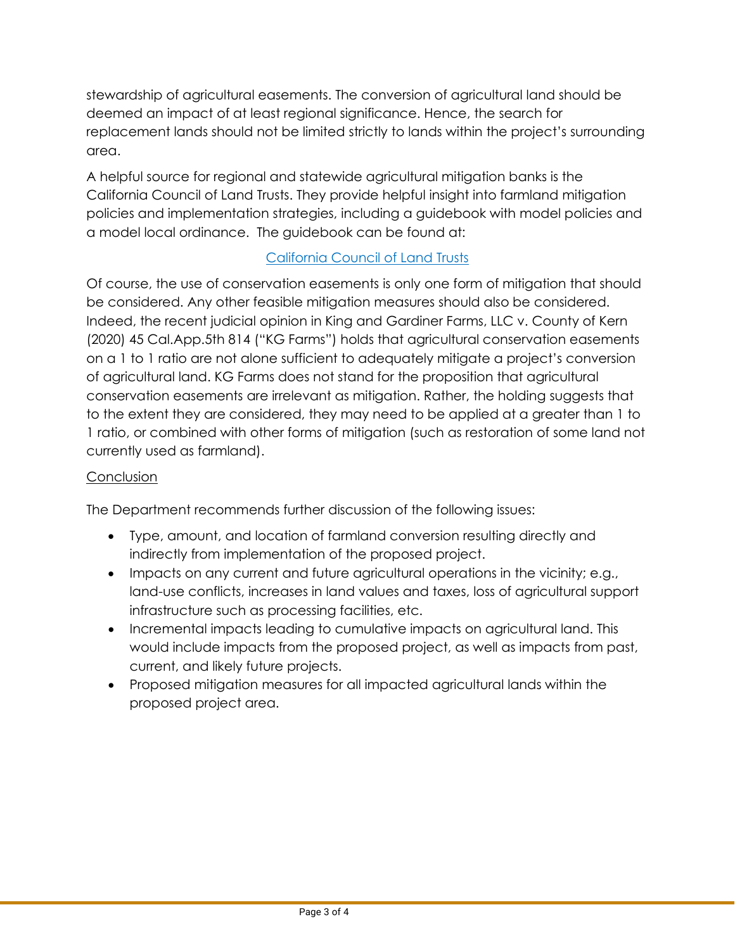stewardship of agricultural easements. The conversion of agricultural land should be deemed an impact of at least regional significance. Hence, the search for replacement lands should not be limited strictly to lands within the project's surrounding area.

A helpful source for regional and statewide agricultural mitigation banks is the California Council of Land Trusts. They provide helpful insight into farmland mitigation policies and implementation strategies, including a guidebook with model policies and a model local ordinance. The guidebook can be found at:

## [California Council of Land Trusts](https://www.calandtrusts.org/resources/conserving-californias-harvest/)

Of course, the use of conservation easements is only one form of mitigation that should be considered. Any other feasible mitigation measures should also be considered. Indeed, the recent judicial opinion in King and Gardiner Farms, LLC v. County of Kern (2020) 45 Cal.App.5th 814 ("KG Farms") holds that agricultural conservation easements on a 1 to 1 ratio are not alone sufficient to adequately mitigate a project's conversion of agricultural land. KG Farms does not stand for the proposition that agricultural conservation easements are irrelevant as mitigation. Rather, the holding suggests that to the extent they are considered, they may need to be applied at a greater than 1 to 1 ratio, or combined with other forms of mitigation (such as restoration of some land not currently used as farmland).

## **Conclusion**

The Department recommends further discussion of the following issues:

- Type, amount, and location of farmland conversion resulting directly and indirectly from implementation of the proposed project.
- Impacts on any current and future agricultural operations in the vicinity; e.g., land-use conflicts, increases in land values and taxes, loss of agricultural support infrastructure such as processing facilities, etc.
- Incremental impacts leading to cumulative impacts on agricultural land. This would include impacts from the proposed project, as well as impacts from past, current, and likely future projects.
- Proposed mitigation measures for all impacted agricultural lands within the proposed project area.